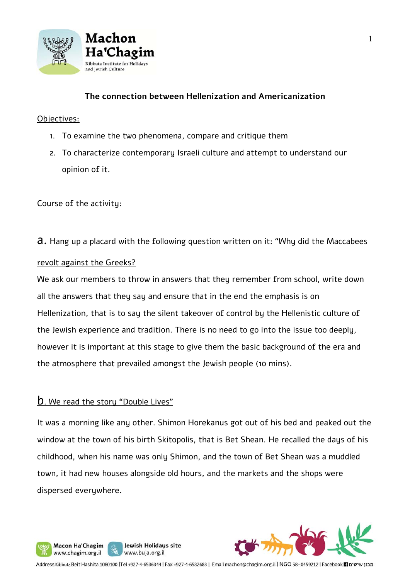

## **The connection between Hellenization and Americanization**

#### Objectives:

- 1. To examine the two phenomena, compare and critique them
- 2. To characterize contemporary Israeli culture and attempt to understand our opinion of it.

## Course of the activity:

# **a.** Hang up a placard with the following question written on it: "Why did the Maccabees

#### revolt against the Greeks?

We ask our members to throw in answers that they remember from school, write down all the answers that they say and ensure that in the end the emphasis is on Hellenization, that is to say the silent takeover of control by the Hellenistic culture of the Jewish experience and tradition. There is no need to go into the issue too deeply, however it is important at this stage to give them the basic background of the era and the atmosphere that prevailed amongst the Jewish people (10 mins).

## b. We read the story "Double Lives"

Macon Ha'Chagim

www.chagim.org.il

W

It was a morning like any other. Shimon Horekanus got out of his bed and peaked out the window at the town of his birth Skitopolis, that is Bet Shean. He recalled the days of his childhood, when his name was only Shimon, and the town of Bet Shean was a muddled town, it had new houses alongside old hours, and the markets and the shops were dispersed everywhere.



Address Kibbutz Beit Hashita 1080100 |Tel +927-4-6536344 | Fax +927-4-6532683 | Email machon@chagim.org.il | NGO 58-0459212 | Facebook 1 מבון שיטים

Jewish Holidays site

www.buja.org.il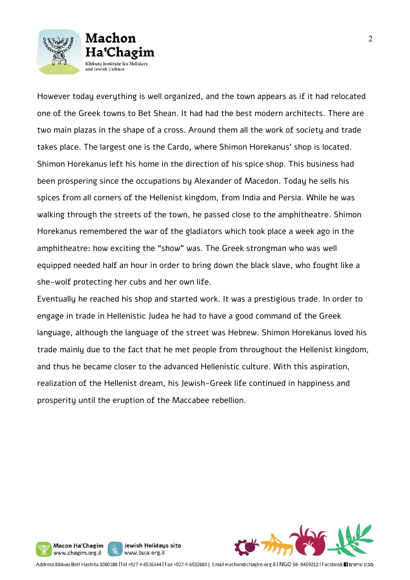



However today everything is well organized, and the town appears as if it had relocated one of the Greek towns to Bet Shean. It had had the best modern architects. There are two main plazas in the shape of a cross. Around them all the work of society and trade takes place. The largest one is the Cardo, where Shimon Horekanus' shop is located. Shimon Horekanus left his home in the direction of his spice shop. This business had been prospering since the occupations by Alexander of Macedon. Today he sells his spices from all corners of the Hellenist kingdom, from India and Persia. While he was walking through the streets of the town, he passed close to the amphitheatre. Shimon Horekanus remembered the war of the gladiators which took place a week ago in the amphitheatre: how exciting the "show" was. The Greek strongman who was well equipped needed half an hour in order to bring down the black slave, who fought like a she-wolf protecting her cubs and her own life.

Eventually he reached his shop and started work. It was a prestigious trade. In order to engage in trade in Hellenistic Judea he had to have a good command of the Greek language, although the language of the street was Hebrew. Shimon Horekanus loved his trade mainly due to the fact that he met people from throughout the Hellenist kingdom, and thus he became closer to the advanced Hellenistic culture. With this aspiration, realization of the Hellenist dream, his Jewish-Greek life continued in happiness and prosperity until the eruption of the Maccabee rebellion.



Address Kibbutz Beit Hashita 1080100 |Tel +927-4-6536344 | Fax +927-4-6532683 | Email machon@chagim.org.il | NGO 58-0459212 | Facebook 1 מכון שיטים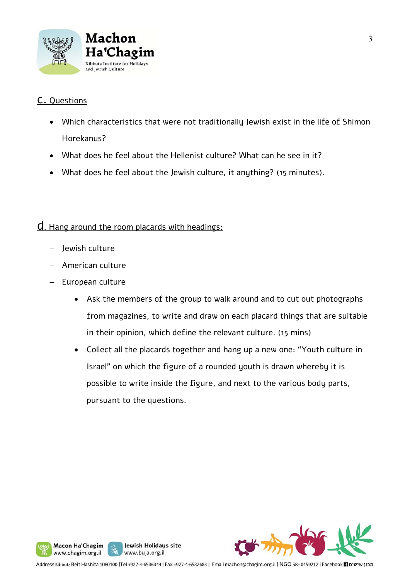

# c. Questions

- Which characteristics that were not traditionally Jewish exist in the life of Shimon Horekanus?
- What does he feel about the Hellenist culture? What can he see in it?
- What does he feel about the Jewish culture, it anything? (15 minutes).

## d. Hang around the room placards with headings:

Jewish culture

Macon Ha'Chagim

www.chagim.org.il

y

- American culture
- European culture
	- Ask the members of the group to walk around and to cut out photographs from magazines, to write and draw on each placard things that are suitable in their opinion, which define the relevant culture. (15 mins)
	- Collect all the placards together and hang up a new one: "Youth culture in Israel" on which the figure of a rounded youth is drawn whereby it is possible to write inside the figure, and next to the various body parts, pursuant to the questions.



Jewish Holidays site

www.buja.org.il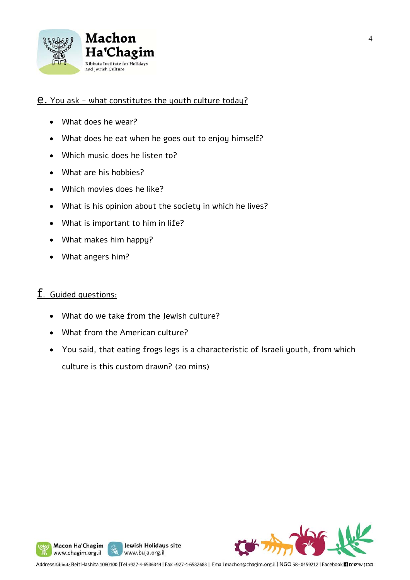

## e. You ask - what constitutes the youth culture today?

- What does he wear?
- What does he eat when he goes out to enjoy himself?
- Which music does he listen to?
- What are his hobbies?
- Which movies does he like?
- What is his opinion about the society in which he lives?
- What is important to him in life?
- What makes him happy?
- What angers him?

# f. Guided questions:

- What do we take from the Jewish culture?
- What from the American culture?
- You said, that eating frogs legs is a characteristic of Israeli youth, from which culture is this custom drawn? (20 mins)